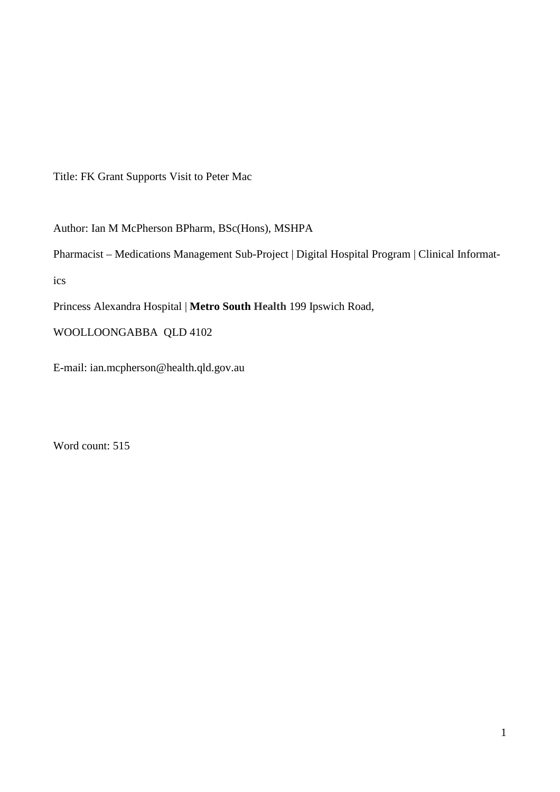Title: FK Grant Supports Visit to Peter Mac

Author: Ian M McPherson BPharm, BSc(Hons), MSHPA

Pharmacist – Medications Management Sub-Project | Digital Hospital Program | Clinical Informatics

Princess Alexandra Hospital | **Metro South Health** 199 Ipswich Road,

WOOLLOONGABBA QLD 4102

E-mail: ian.mcpherson@health.qld.gov.au

Word count: 515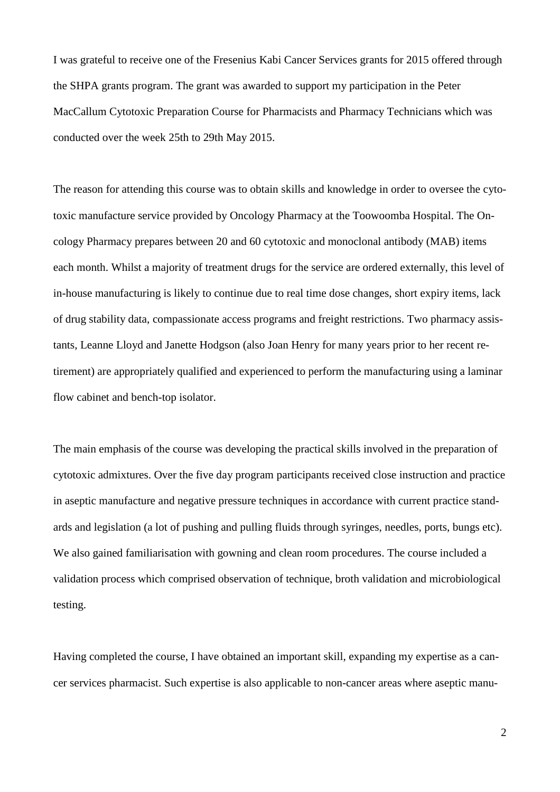I was grateful to receive one of the Fresenius Kabi Cancer Services grants for 2015 offered through the SHPA grants program. The grant was awarded to support my participation in the Peter MacCallum Cytotoxic Preparation Course for Pharmacists and Pharmacy Technicians which was conducted over the week 25th to 29th May 2015.

The reason for attending this course was to obtain skills and knowledge in order to oversee the cytotoxic manufacture service provided by Oncology Pharmacy at the Toowoomba Hospital. The Oncology Pharmacy prepares between 20 and 60 cytotoxic and monoclonal antibody (MAB) items each month. Whilst a majority of treatment drugs for the service are ordered externally, this level of in-house manufacturing is likely to continue due to real time dose changes, short expiry items, lack of drug stability data, compassionate access programs and freight restrictions. Two pharmacy assistants, Leanne Lloyd and Janette Hodgson (also Joan Henry for many years prior to her recent retirement) are appropriately qualified and experienced to perform the manufacturing using a laminar flow cabinet and bench-top isolator.

The main emphasis of the course was developing the practical skills involved in the preparation of cytotoxic admixtures. Over the five day program participants received close instruction and practice in aseptic manufacture and negative pressure techniques in accordance with current practice standards and legislation (a lot of pushing and pulling fluids through syringes, needles, ports, bungs etc). We also gained familiarisation with gowning and clean room procedures. The course included a validation process which comprised observation of technique, broth validation and microbiological testing.

Having completed the course, I have obtained an important skill, expanding my expertise as a cancer services pharmacist. Such expertise is also applicable to non-cancer areas where aseptic manu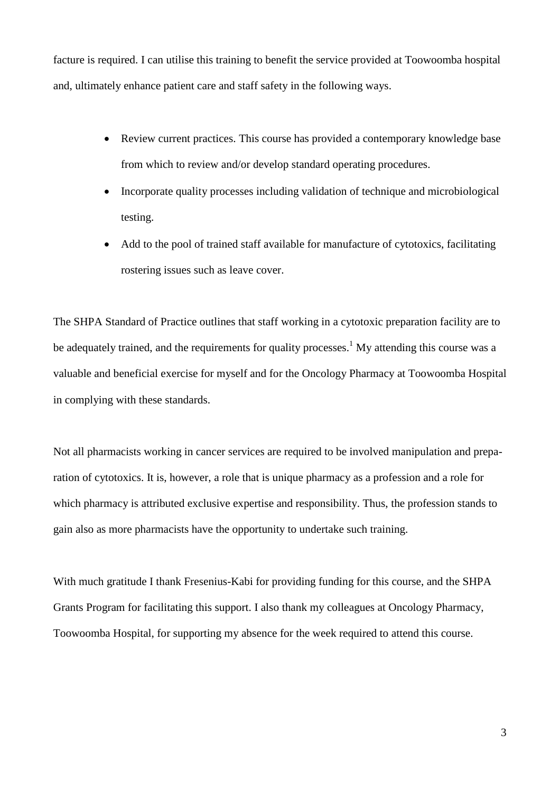facture is required. I can utilise this training to benefit the service provided at Toowoomba hospital and, ultimately enhance patient care and staff safety in the following ways.

- Review current practices. This course has provided a contemporary knowledge base from which to review and/or develop standard operating procedures.
- Incorporate quality processes including validation of technique and microbiological testing.
- Add to the pool of trained staff available for manufacture of cytotoxics, facilitating rostering issues such as leave cover.

The SHPA Standard of Practice outlines that staff working in a cytotoxic preparation facility are to be adequately trained, and the requirements for quality processes.<sup>1</sup> My attending this course was a valuable and beneficial exercise for myself and for the Oncology Pharmacy at Toowoomba Hospital in complying with these standards.

Not all pharmacists working in cancer services are required to be involved manipulation and preparation of cytotoxics. It is, however, a role that is unique pharmacy as a profession and a role for which pharmacy is attributed exclusive expertise and responsibility. Thus, the profession stands to gain also as more pharmacists have the opportunity to undertake such training.

With much gratitude I thank Fresenius-Kabi for providing funding for this course, and the SHPA Grants Program for facilitating this support. I also thank my colleagues at Oncology Pharmacy, Toowoomba Hospital, for supporting my absence for the week required to attend this course.